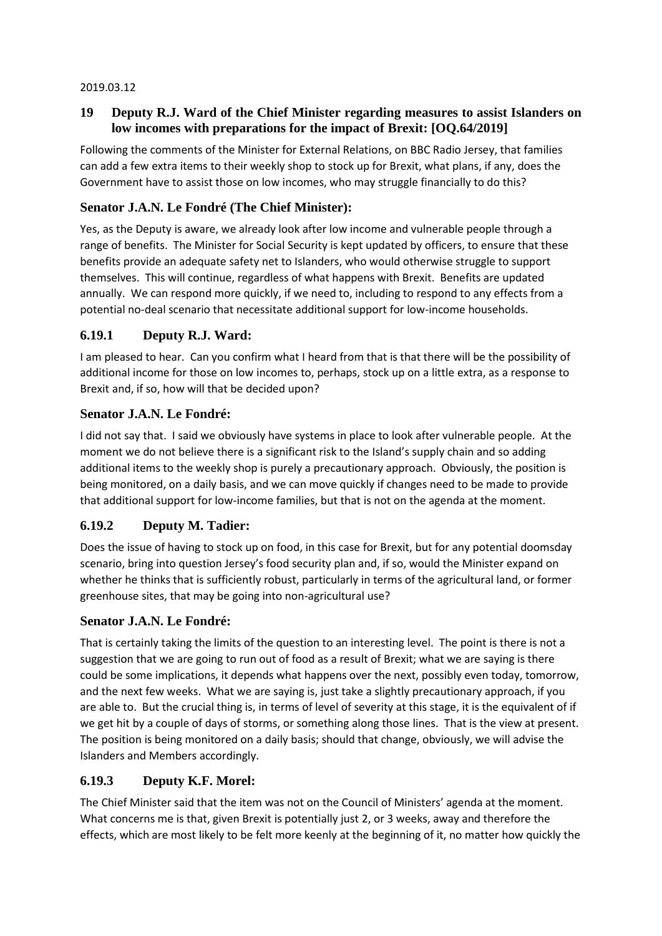#### 2019.03.12

# **19 Deputy R.J. Ward of the Chief Minister regarding measures to assist Islanders on low incomes with preparations for the impact of Brexit: [OQ.64/2019]**

Following the comments of the Minister for External Relations, on BBC Radio Jersey, that families can add a few extra items to their weekly shop to stock up for Brexit, what plans, if any, does the Government have to assist those on low incomes, who may struggle financially to do this?

# **Senator J.A.N. Le Fondré (The Chief Minister):**

Yes, as the Deputy is aware, we already look after low income and vulnerable people through a range of benefits. The Minister for Social Security is kept updated by officers, to ensure that these benefits provide an adequate safety net to Islanders, who would otherwise struggle to support themselves. This will continue, regardless of what happens with Brexit. Benefits are updated annually. We can respond more quickly, if we need to, including to respond to any effects from a potential no-deal scenario that necessitate additional support for low-income households.

## **6.19.1 Deputy R.J. Ward:**

I am pleased to hear. Can you confirm what I heard from that is that there will be the possibility of additional income for those on low incomes to, perhaps, stock up on a little extra, as a response to Brexit and, if so, how will that be decided upon?

### **Senator J.A.N. Le Fondré:**

I did not say that. I said we obviously have systems in place to look after vulnerable people. At the moment we do not believe there is a significant risk to the Island's supply chain and so adding additional items to the weekly shop is purely a precautionary approach. Obviously, the position is being monitored, on a daily basis, and we can move quickly if changes need to be made to provide that additional support for low-income families, but that is not on the agenda at the moment.

## **6.19.2 Deputy M. Tadier:**

Does the issue of having to stock up on food, in this case for Brexit, but for any potential doomsday scenario, bring into question Jersey's food security plan and, if so, would the Minister expand on whether he thinks that is sufficiently robust, particularly in terms of the agricultural land, or former greenhouse sites, that may be going into non-agricultural use?

## **Senator J.A.N. Le Fondré:**

That is certainly taking the limits of the question to an interesting level. The point is there is not a suggestion that we are going to run out of food as a result of Brexit; what we are saying is there could be some implications, it depends what happens over the next, possibly even today, tomorrow, and the next few weeks. What we are saying is, just take a slightly precautionary approach, if you are able to. But the crucial thing is, in terms of level of severity at this stage, it is the equivalent of if we get hit by a couple of days of storms, or something along those lines. That is the view at present. The position is being monitored on a daily basis; should that change, obviously, we will advise the Islanders and Members accordingly.

#### **6.19.3 Deputy K.F. Morel:**

The Chief Minister said that the item was not on the Council of Ministers' agenda at the moment. What concerns me is that, given Brexit is potentially just 2, or 3 weeks, away and therefore the effects, which are most likely to be felt more keenly at the beginning of it, no matter how quickly the